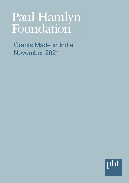# Paul Hamlyn Foundation

Grants Made in India November 2021

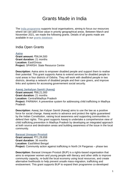# Grants Made in India

The [India programme](https://www.phf.org.uk/our-work-in-india/) supports local organisations, aiming to focus our resources where we can add most value in priority geographical areas. Between March and November 2021, we made the following grants. Details of all grants made are available in our [grants database.](https://www.phf.org.uk/grants/)

India Open Grants

**[Aaina](http://www.aaina.org.in/) Grant amount:** ₹56,94,500 **Grant duration:** 21 months **Location:** East\Orissa **Project:** SPARSH: State Resource Centre

**Description:** Aaina aims to empower disabled people and support them to realise their potential. This grant supports Aaina to extend services for disabled people to rural areas in four districts of Odisha. They will work with deafblind people in two districts, develop a network of disabled people and their care givers, and improve links and systems for accessing governement social security.

# **[Aawaj Jankalyan Samiti](http://www.aawaj.in/) (Aawaj)**

**Grant amount:** ₹68,21,000 **Grant duration:** 21 months **Location:** Central\Madhya Pradesh **Project:** PARWAH: A preventive system for addressing child trafficking in Madhya Pradesh

**Description:** Aawaj Jan Kalyan Samiti (Aawaj) aims to use the law as a positive force for social change. Aawaj works to advance and protect the rights guaranteed by the Indian Constitution, raising local awareness and supporting communities to defend their rights. This grant supports Aawaj to undertake a comprehensive view of child trafficking prevention in Madhya Pradesh by developing an integrated approach at both source and destination areas and building awareness of the issue in the local community.

# **[Barasat Unnayan Prostuti](http://www.bupkolkata.org/)**

**Grant amount:** ₹71,29,658 **Grant duration:** 36 months **Location:** East\West Bengal **Project:** Community action against trafficking in North 24 Parganas – phase two

**Description:** Barasat Unnayan Prostuti (BUP) is a rights-based organisation that aims to empower women and young people with literacy and other skills to improve community capacity, re-build the local economy using local resources, and create alternative livelihoods to help prevent unsafe mass-migration, trafficking and enslavement. This grant supports BUP to expand their programme co-developed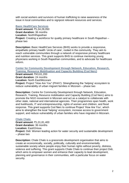with social workers and survivors of human trafficking to raise awareness of the issue in local communities and to signpost relevant resources and services.

#### **[Basic HealthCare Services](http://www.bhs.org.in/)**

**Grant amount:** ₹1,04,28,050 **Grant duration:** 36 months **Location:** North\Rajasthan **Project:** Creating a workforce for quality primary healthcare in South Rajasthan – phase two

**Description:** Basic HealthCare Services (BHS) works to provide a responsive, empathetic primary health 'circle of care', rooted in the community. They aim to reach vulnerable communities through a network of responsive primary healthcare and nutrition services. This grant supports BHS to continue mentoring young physicians working in South Rajasthan communities, and to advocate for healthcare reform.

# **[Center for Community Development through Network, Education, Research,](http://codnerc.org/)  [Training, Resource Mobilisation and Capacity Building \(Cod Nerc\)](http://codnerc.org/)**

**Grant amount:** ₹43,61,200 **Grant duration:** 24 months **Location:** North East\Mizoram

**Project:** Project "How Are You" (PHAY): Strengthening the 'helping' ecosystem to reduce vulnerability of urban migrant families in Mizoram – phase two

**Description:** Centre for Community Development through Network, Education, Research, Training, Resource mobilisation and Capacity Building (Cod Nerc) aims to promote the NGO movement in Mizoram and act as a catalyst to collaborate with other state, national and international agencies. Their programmes span health, work and livelihoods, IT and entrepreneurship, rights of women and children, and flood response. This grant supports Cod Nerc to continue Project 'How Are You', which aims to strengthen the local 'helping' ecosystem, increase access to government support, and reduce vulnerability of urban families who have migrated in Mizoram.

# **[Chale Chalo](http://www.chalechalo.org/)**

**Grant amount:** ₹1,01,81,400 **Grant duration:** 36 months **Location:** East\Orissa **Project:** Didi: Women leading action for water security and sustainable development – phase two

**Description:** Chale Chalo is a grassroots development organisation that aims to create an economically, socially, politically, culturally and environmentally sustainable society where people enjoy their human rights without poverty, distress, violence and suffering. This grant supports Chale Chalo to continue their project Didi, which aims to empower women and enhance their capacity to lead development, planning and governance in their communities, with a particular focus on water security.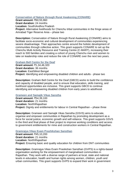# **[Conservation of Nature through Rural Awakening \(CONARE\)](http://www.conare.org/)**

**Grant amount:** ₹60,55,960 **Grant duration:** 24 months **Location:** South\Andhra Pradesh **Project:** Alternative livelihoods for Chenchu tribal communites in the fringe areas of Amrabad Tiger Reserve Area – phase two

**Description:** Conservation of Nature through Rural Awakening (CONARE) aims to facilitate socio-economic and cultural development of communities experiencing severe disadvantage. Their approaches centre around the holistic development of communities through collective action. This grant supports CONARE to set up the Chenchu Multi Activity Resource and Training Centre (C-MART), increasing their reach to 500 families and creating a cohort of young Chenchu men and women to take on leadership roles and reduce the role of CONARE over the next two years.

# **[Graham Bell Centre for the Deaf](http://www.gbcdpandua.org/)**

**Grant amount:** ₹1,34,46,320 **Grant duration:** 36 months **Location: East\West Bengal Project:** Identifying and empowering disabled children and adults - phase two

**Description:** Graham Bell Centre for the Deaf (GBCD) works to build the confidence and capacity of disabled people, and to ensure that education, skills training, and livelihood opportunities are inclusive. This grant supports GBCD to continue identifying and empowering disabled children from early years to adulthood.

# **[Grameen and Samajik Vikas Sanstha](http://gsvsajmer.in/)**

**Grant amount:** ₹54,39,100 **Grant duration:** 21 months **Location:** North\Rajasthan **Project:** Dignity and entitlements for labour in Central Rajasthan – phase three

**Description:** Grameen and Samajik Vikas Sanstha (GSVS) aims to educate, organise and empower communities in Rajasthan by promoting development as a force for social justice, economic growth and self-reliance. This grant supports GSVS in the third and final phase of their project to improve working conditions and access to government entitlements for mine and construction workers in Central Rajasthan.

# **[Gramrajya Vikas Evam Prashikshan Sansthan](http://www.gramrajya.in/)**

**Grant amount:** ₹45,10,200 **Grant duration:** 21 months **Location:** North\Rajasthan **Project:** Ensuring basic and quality education for children from DNT communities

**Description:** Gramrajya Vikas Evam Prasikshan Sansthan (GVPS) is a rights-based organisation working for the empowerment of marginalised communities in Rajasthan. They work with a diverse range of partners at local, state and national levels in education, health and human rights among women, children, youth and urban communities. This grant supports GVPS to expand their work in government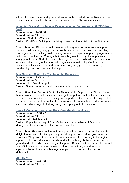schools to ensure basic and quality education in the Bundi district of Rajasthan, with a focus on education for children from denotified tribe (DNT) communities.

**[Integrated Social & Institutional Development for Empowerment \(InSIDE-North](http://www.insidenortheast.org/)  [East\)](http://www.insidenortheast.org/) Grant amount:** ₹44,31,000 **Grant duration:** 21 months **Location:** North East\Manipur

**Project:** Gun2Pen: Building an enabling environment for children in conflict areas

**Description:** InSIDE-North East is a non-profit organisation who work to support women, children and young people in North East India. They provide counselling, career guidance, coaching, skills training, workshops, sports for peace programmes, and a youth conference. Through their work they aim to bridge the gap between young people in the North East and other regions in order to build a better and more inclusive India. This grant supports the organisation to develop Gun2Pen, an education and livelihood support programme for young people experiencing disadvantage in conflict areas of Manipur.

**[Jana Sanskriti Centre for Theatre of the Oppressed](http://www.janasanskriti.org/)**

**Grant amount:** ₹1,79,14,719 **Grant duration:** 36 months Location: East\West Bengal **Project:** Spreading forum theatre in communities – phase three

**Description:** Jana Sanskriti Centre for Theatre of the Oppressed (JS) uses forum theatre to address social issues that emerge from patriarchal traditions. They work with performers and the public. This grant supports the third phase of a project that will create a network of forum theatre teams in local communities to address issues such as child marriage, trafficking and girls dropping out of education.

**Khoj - [A Quest for Knowledge Hope Opportunity and Justice](http://khojmelghat.org/#register)**

**Grant amount:** ₹59,31,273 **Grant duration:** 21 months **Location:** West\Maharashtra **Project:** Capacity-building of Gram-Sabha members on Natural Resource Management plans in Amravati district – phase three

**Description:** Khoj works with remote village and tribe communities in the forests of Melghat to facilitate effective planning and strengthen local village governance and resources. They protect and promote documentation of biodiversity in the region, support health and educational needs, and act as a bridge between work on-theground and policy advocacy. This grant supports Khoj in the third phase of work with Gram-Sabha members across multiple villages so that they can develop and implement Natural Resource Management plans in the Amravati district of Maharashtra.

#### **[MAHAN Trust](https://www.mahantrust.org/)**

**Grant amount:** ₹64,66,000 **Grant duration:** 24 months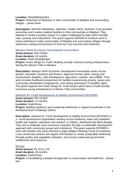**Location:** West\Maharashtra

**Project:** Reduction of blindness in tribe communities of Melghat and surrounding villages – phase three

**Description:** MAHAN (Meditation, Addiction, Health, AIDS, Nutrition) Trust provides preventive and curative medical facilities to tribe communities in Melghat. They attempt to create a positive impact in a region challenged by high infant mortality rates, poverty and malnutrition. This grant supports MAHAN to continue work to reduce blindness in tribe communities of Melghat and surrounding villages through awareness-raising and provision of local eye care services and treatment.

**Manipur North Economic Development Association**

**Grant amount:** ₹40,79,600 **Grant duration:** 24 months **Location:** North East\Manipur **Project:** Green Wings for Youth: Building socially conscious young entrepreneurs among the Maram Tribe in Manipur

**Description:** Manipur North Economic Development Association works across gender, education, business and finance, legal and human rights, energy and environment, disability, child development, agriculture, nutrition, and wildlife. Their work includes livelihood programmes for families experiencing poverty, peace and community rehabilitation programmes, and raising awareness of disability rights. This grant supports the Green Wings for Youth project which aims to build socially conscious young entrepreneurs in Maram Tribe communities.

**[Network for Youth Development & Healthy Environment \(NYDHEE\)](http://www.nydhee.org/)**

**Grant amount:** ₹55,19,500 **Grant duration:** 21 months **Location:** East\Orissa **Project:** Building resilience and sustaining livelihoods in migrant households in the Muribahal block of Balangir District

**Description:** Network for Youth Development & Healthy Environment (NYDHEE) is a social development organisation working across livelihood, water and sanitation, health and hygiene, education and nutrition, in Odisha, Jharkhand and West Bengal. They aim to eradicate socio-economic inequities through a sustainable development approach with community groups and institutions. This grant supports NYDHEE's work with families who have returned to eight villages following Covid-19 lockdown. Local community workers will support 200 families to create sustainable livelihoods through poultry and vegetable cultivation, and access underused government entitlements and resources.

# **[Nirman](http://www.nirmanodisha.org/)**

**Grant amount:** ₹1,33,51,216 **Grant duration:** 36 months **Location:** East\Orissa **Project:** Consolidating a people-led approach to conservation and livelihood – phase two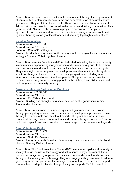**Description:** Nirman promotes sustainable development through the empowerment of communities, restoration of ecosystems and decentralisation of natural resource governance. They work to enhance the livelihood, food, and nutritional security of Adivasi, with a particular focus on smallholder farmers and fishing communities. This grant supports Nirman in phase two of a project to consolidate a people-led approach to conservation and livelihood and continue raising awareness of forest rights, enhancing capacity of local leaders and securing legal rights to forest land.

# **[Nivedita Foundation](http://www.niveditafoundationtrust.org/)**

**Grant amount:** ₹31,16,500 **Grant duration:** 18 months **Location:** Central\Chhattisgarh **Project:** Leadership programme for the young people in marginalised communities in Janjgir Champa, Chhattisgarh – phase two

**Description:** Nivedita Foundation (NF) is dedicated to building leadership capacity in communities experiencing marginalisation and to mobilising groups to help them access education and health services as well as their social and economic rights. They use a rights-based approach to develop women's leadership and bring about structural change in favour of those experiencing exploitation, including women, tribal communities and other minoritised people. This grant supports phase two of NF's fellowship programme for young people in the Sabariya and Sidar tribes, and build longer term community capacity.

# **Praxis - Institute [for Participatory Practices](http://www.praxisindia.org/)**

**Grant amount:** ₹62,32,000 **Grant duration:** 21 months Location: East\Bihar, Jharkhand **Project:** Building and strengthening social development organisations in Bihar, Jharkhand – phase two

**Description:** Praxis works to influence equity and governance-related policies through participatory research and to democratise development processes to pave the way for an equitable society without poverty. This grant supports Praxis to continue delivering a course to individuals and community organisations in Bihar to build their capacity and empower them to take charge of local development agendas.

# **[Rural Volunteers Centre](http://www.rvcassam.org/)**

**Grant amount:** ₹41,70,421 **Grant duration:** 21 months **Location:** North East\Assam **Project:** Living Better with Disasters: Developing household resilience in the flood plains of Dhemaji District, Assam

**Description:** The Rural Volunteers Centre (RVC) aims for an epidemic-free and just society through the use of technology and self-reliance. They empower children, women and indigenous groups to access secure livelihoods, health and education, through skills training and technology. They also engage with government to address gaps in systems and policies in the management of natural resources and support communities to adapt to climate change. This grant supports RVC to move from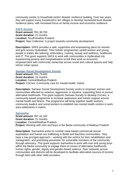community-centric to household-centric disaster resilience building. Over two years, they will support every household in ten villages to develop household level disaster resilience plans, with increased focus on family income and economic resilience.

# **[SAFA Society](http://www.safaindia.org/)**

**Grant amount:** ₹61,38,750 **Grant duration:** 21 months **Location:** South\Andhra Pradesh **Project:** Nasr Collective: A project towards community development

**Description:** SAFA provides a safe, supportive and empowering place for women and girls across Hyderabad. Their holistic programmes upskill women and young people in trades like tailoring, embroidery, cooking, beauty and wellness, healthcare and IT. This grant supports SAFA to work with communities in Hyderabad city experiencing poverty and marginalisation to link their work on economic empowerment with community ownership across social and cultural spaces and help reform urban space.

# **[Samaan Social Development Society](http://www.samaansociety.org/)**

**Grant amount:** ₹41,79,600 **Grant duration:** 24 months **Location:** Central\Madhya Pradesh **Project:** CoCare: Community care for mental health, Indore

**Description:** Samaan Social Development Society works to empower women and communities affected by violence, aggression or injustice, supporting them to pursue alternative livelihoods. This grant supports Samaan Society to develop CoCare, a community-based programme to increase awareness and holistic support around mental health and illness. The programme will bring together health workers, community leaders and social workers to establish two mental health centres in work area settlements in Indore.

# **[Samvedna](http://www.samvednaindia.org/)**

**Grant amount:** ₹67,42,160 **Grant duration:** 21 months **Location:** Central\Madhya Pradesh **Project:** Working with men and boys in the Bedia community of Madhya Pradesh

**Description:** Samvedna works to combat caste-based commercial sexual exploitation and human sex trafficking in Bedia and Bachhra communities. They have a two-pronged approach – working with the victims for their rehabilitation and reintegration, and prioritising prevention for vulnerable members of the community through advocacy. This grant supports Samvedna to work with men and young boys within the Bedia community to engage them on issues of alternative livelihoods, human rights, gender, dignity and gender-based violence. Peer networks across communities and districts will be developed to facilitate alternative sources of income through links with other skills providers.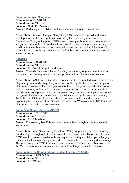# **Sanatan Unnayan Sangstha**

**Grant amount:** ₹35,34,100 **Grant duration:** 21 months **Location:** North East\Assam **Project:** Reducing vulnerabilities of families in shut tea gardens of Assam

**Description:** Sanatan Unnayan Sangstha (SUS) works across child and youth development, health and rights with a growing focus on tea garden areas of Chencoorie. This grant supports SUS to work closely with families in an abandoned tea garden area in the Silchar district, with initiatives comprising income savings and credit, nutrition enhancement and remedial education classes for children to help reduce the stressful living conditions of the families and assist in their financial and social recovery.

#### **[SANHITA](https://www.facebook.com/Sanhita-Gender-Resource-Centre-209845032359060/)**

**Grant amount:** ₹40,61,500 **Grant duration:** 21 months **Location:** East\West Bengal, Jharkhand **Project:** Towards Safe Workplaces: Building the capacity of government Internal Committees and unorganised sectors to provide safe workspaces for women

**Description:** SANHITA is a Gender Resource Centre, committed to an overall vision of gender justice and equity. They advocate for the rights of women and people of other genders at workplace and government level. This grant supports Sanhita to build the capacity of Internal Committee members of government departments to provide safe workspaces for women employed in government settings as well other unorganised sectors and industries. They will increase rights awareness among Trade Union of Jute workers and other workers associations and advocate for expanding the definition of the Sexual Harassment at Workplace Act 2013 to include other gender identities beyond women.

#### **[Sarva Seva Samity Sanstha](http://www.sarvasevasamity.org/) (SSSS)**

**Grant amount:** ₹31,13,000 **Grant duration:** 12 months Location: East\Jharkhand **Project:** Empowering Mal Paharia tribe communities through multi-dimensional interventions

**Description:** Sarva Seva Samity Sanstha (SSSS) supports women experiencing disadvantage through activities that cover health, nutrition, livelihoods and finance. SSSS aim to develop a sustainable and equitable society and take up challenging issues that will improve living standards for communities experiencing disadvantage. This grant supports SSSS to research and develop a framework for their work with the Mal Paharia tribe community which will inform longer-term interventions.

**[Social Action for Community Alternative Learning](http://www.sacalodisha.org/) (SACAL)**

**Grant amount:** ₹1,13,62,804 **Grant duration:** 36 months **Location:** East\Orissa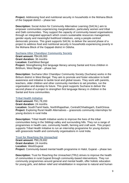**Project:** Addressing food and nutritional security in households in the Mohana Block of the Gajapati district – phase two

**Description:** Social Action for Community Alternative Learning (SACAL) aim to empower communities experiencing marginalisation, particularly women and tribal and Dalit communities. They support the capacity of community-based organisations through an integrated approach which covers sustainable resources management, gender equity and meaningful livelihood initiatives, using a people-centred democratic process. This grant supports SACAL to deliver the second phase of a project to address food and nutritional security in households experiencing poverty in the Mohana Block of the Gajapati district in Odisha.

# **[Suchana Uttor Chandipur Community Society](http://suchana-community.org/)**

**Grant amount:** ₹84,69,000 **Grant duration:** 36 months Location: East\West Bengal **Project:** Strengthening first language literacy among Santal and Kora children in Birbhum, West Bengal – phase two

**Description:** Suchana Uttor Chandipur Community Society (Suchana) works in the Birbum district in West Bengal. They aim to promote and foster education to build awareness and initiative to tackle local and global issues. They work with parents, teachers, older children and other community members to set priorities, run the organisation and develop its future. This grant supports Suchana to deliver the second phase of a project to strengthen first language literacy in children in the Santal and Kora communities.

# **[Tribal Health Initiative](http://www.tribalhealth.org/)**

**Grant amount:** ₹41,78,200 **Grant duration:** 24 months **Location:** South\Tamil Nadu, North\Rajasthan, Central\Chhattisgarh, East\Orissa **Project:** Exploring Rural Health Alternatives – grassroots community internships for young doctors in rural India

**Description:** Tribal Health Initiative works to improve the lives of the tribal communities living in the Sittilingi valley and surrounding hills. They run a range of programmes in health care, community health, farming and craft work. This project supports Tribal Health Initiative to run an internship programme for young doctors with grassroots health and community organisations in rural India.

# **[Trust for Reaching the Unreached](http://www.truguj.org/)**

**Grant amount:** ₹90,29,692 **Grant duration:** 24 months **Location:** West\Gujarat **Project:** Community-based mental health programme in Halol, Gujarat – phase two

**Description:** Trust for Reaching the Unreached (TRU) strives to improve the health of communities in rural Gujarat through community-based interventions. They run community programmes around general and mental health, offer holistic education for young girls, and deliver relief and rehabilitation in response to natural and human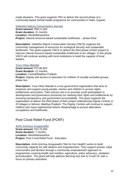made disasters. This grant supports TRU to deliver the second phase of a community-based mental health programme for communities in Halol, Gujarat.

#### **[Vidarbha Nature Conservation Society](https://www.facebook.com/Vidarbha-Nature-Conservation-Society-Nagpur-114487980019055/)**

**Grant amount:** ₹58,21,000 **Grant duration:** 21 months **Location:** West\Maharashtra **Project:** Natural resource-based sustainable livelihoods – phase three

**Description:** Vidarbha Nature Conservation Society (VNCS) supports the community management of resources for ecological security and sustainable livelihoods. This grant supports VNCS to deliver the third phase of their project to improve natural resource-based sustainable livelihoods in ten villages. In this phase VNCS will continue working with local institutions to build the capacity of local leaders.

#### **[Yuva Vikas Mandal](https://yuvavikasmandal.org.in/)**

**Grant amount:** ₹72,86,820 **Grant duration:** 21 months **Location:** Central\Madhya Pradesh **Project:** Dignity and access to education for children of socially excluded groups phase two

**Description:** Yuva Vikas Mandal is a non-government organisation that aims to empower and support young people, women and children to access rights, entitlements and justice. Their primary aim is to promote youth participation in development and governance processes for realising their rights and entitlements by ensuring transparency and government accountability. This grant supports the organisation to deliver the third phase of their project underpinning Dignity Centres in 20 villages in Sehore, Madhya Pradesh. The Dignity Centres will continue to support children who have experienced historic disadvantage to pursue alternative occupations and livelihoods.

# Post Covid Relief Fund (PCRF)

# **[Amhi Amchya Arogyasathi](http://www.arogyasathi.org/)**

**Grant amount:** ₹10,75,000 **Grant duration:** 7 months **Location:** West\Maharashtra **Project:** Post Covid Relief Fund - Education

**Description**: Amhi Amchya Arogyasathi ('We for Our Health') works to build community capacity for self-reliance and empowerment. They support women, tribal communities and farmers through a community empowerment approach to programmes covering health and nutrition, agriculture, policy advocacy, sanitation and education. This grant will help address learning loss due to Covid-19, with a focus on primary education.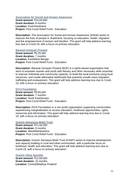**[Association for Social and Human Awareness](http://www.ashajharkhand.org/)**

**Grant amount:** ₹14,04,600 **Grant duration:** 8 months **Location:** East\Jharkhand **Project:** Post Covid Relief Fund - Education

**Description:** The Association for Social and Human Awareness (ASHA) works to improve the lives of people in Jharkhand, focusing on education, health, migration and the empowerment of women and families. This grant will help address learning loss due to Covid-19, with a focus on primary education.

# **[Barasat Unnayan Prostuti](http://www.bupkolkata.org/)**

**Grant amount:** ₹5,25,000 **Grant duration:** 7 months **Location: East\West Bengal Project:** Post Covid Relief Fund - Education

**Description:** Barasat Unnayan Prostuti (BUP) is a rights-based organisation that aims to empower women and youth with literacy and other necessary skills essential to improve individual and community capacity, re-build the local economy using local resources, and create alternative livelihoods that prevents unsafe mass-migration, trafficking and enslavement. This grant will help address learning loss due to Covid-19, with a focus on primary education.

# **[DiYA Foundation](http://www.diyafoundation.org.in/)**

**Grant amount:** ₹9,93,000 **Grant duration:** 7 months **Location:** North East\Assam **Project:** Post Covid Relief Fund - Education

**Description:** DiYA Foundation is a non-profit organisation supporting communities experiencing marginalisation to access education, livelihood opportunities, rights, resources and information. This grant will help address learning loss due to Covid-19, with a focus on primary education.

# **[Gramin Samassya Mukti Trust](http://gsmtyavatmal.org/)**

**Grant amount:** ₹11,94,500 **Grant duration:** 9 months **Location:** West\Maharashtra **Project:** Post Covid Relief Fund - Education

**Description:** Gramin Samasya Mukti Trust (GSMT) works to improve development and capacity building in rural and tribal communities, with a particular focus on livelihood, health and education. This grant will help address learning loss due to Covid-19, with a focus on primary education.

# **[Gramin Vikas Sanstha](https://gvsindia.org/)**

**Grant amount:** ₹12,60,000 **Grant duration:** 10 months **Location:** Central\Madhya Pradesh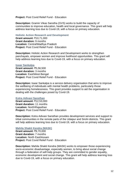# **Project:** Post Covid Relief Fund - Education

**Description:** Gramin Vikas Sanstha (GVS) works to build the capacity of communities to improve education, health and local governance. This grant will help address learning loss due to Covid-19, with a focus on primary education.

#### **Holistic Action Research and Development**

**Grant amount:** ₹10,71,000 **Grant duration:** 9 months **Location:** Central\Madhya Pradesh **Project:** Post Covid Relief Fund - Education

**Description:** Holistic Action Research and Development works to strengthen panchayats, empower women and improve livelihood opportunities. This grant will help address learning loss due to Covid-19, with a focus on primary education.

#### **[Iswar Sankalpa](http://www.isankalpa.org/)**

**Grant amount:** ₹5,56,500 **Grant duration:** 3 months Location: East\West Bengal **Project:** Post Covid Relief Fund - Education

**Description:** Iswar Sankalpa is a service delivery organisation that aims to improve the wellbeing of individuals with mental health problems, particularly those experiencing homelessness. This grant provides support to aid the organisation in dealing with the challenges posed by Covid-19.

# **[Kotra Adivasi Sansthan](https://kaskotra.org/)**

**Grant amount:** ₹12,53,000 **Grant duration:** 11 months **Location:** North\Rajasthan **Project:** Post Covid Relief Fund - Education

**Description:** Kotra Adivasi Sansthan provides development services and support to tribal communities in the remote parts of the Udaipur and Sirohi districts. This grant will help address learning loss due to Covid-19, with a focus on primary education.

# **[Mahila Shakti Kendra \(MASK\)](http://www.maskindia.org/)**

**Grant amount:** ₹9,70,000 **Grant duration:** 7 months **Location:** North East\Assam **Project:** Post Covid Relief Fund - Education

**Description:** Mahila Shakti Kendra (MASK) works to empower those experiencing socio-economic disadvantage, especially women, to bring about social change through a federation of self-help groups. They are committed to gender equality, economic development and social change. This grant will help address learning loss due to Covid-19, with a focus on primary education.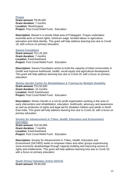# **[Prayas](http://www.prayaschittor.org/) Grant amount:** ₹9,95,000 **Grant duration:** 7 months **Location:** West\Gujarat **Project:** Post Covid Relief Fund - Education

**Description**: Based in a remote tribal area of Pratapgarh, Prayas undertakes essential work on forest rights, minimum wage, bonded labour in agriculture, education and tribal identity. This grant will help address learning loss due to Covid-19, with a focus on primary education.

# **[Savera Foundation](http://www.saverafoundation.com/)**

**Grant amount:** ₹11,25,200 **Grant duration:** 7 months Location: Fast\Jharkhand **Project:** Post Covid Relief Fund - Education

**Description:** Savera Foundation works to build the capacity of tribal communities in Giridih and improve livelihoods, health, social equity and agricultural development. This grant will help address learning loss due to Covid-19, with a focus on primary education.

**[Shishu Sarothi Centre for Rehabilitation & Training for Multiple Disability](http://www.shishusarothi.org/)**

**Grant amount:** ₹10,50,600 **Grant duration:** 10 months **Location:** North East\Assam **Project: Post Covid Relief Fund - Education** 

**Description:** Shishu Sarothi is a not-for-profit organisation working in the area of early intervention and rehabilitation, education, livelihoods, advocacy and awareness as well as protection of rights and legal aid for disabled children and adults in North East India. This grant will help address learning loss due to Covid-19, with a focus on primary education.

# **[Society for Advancement in Tribes, Health, Education and Environment](http://satheeforchange.org/)  [\(SATHEE\)](http://satheeforchange.org/)**

**Grant amount:** ₹10,50,000 **Grant duration:** 7 months **Location:** East\Jharkhand **Project:** Post Covid Relief Fund - Education

**Description:** Society for Advancement in Tribes, Health, Education and Environment (SATHEE) seeks to empower tribes and other groups experiencing socio-economic disadvantage through capacity building and improving access to rights and entitlements. This grant will help address learning loss due to Covid-19, with a focus on primary education.

**[South Orissa Voluntary Action \(SOVA\)](http://www.sovakoraput.org/) Grant amount:** ₹9,90,000